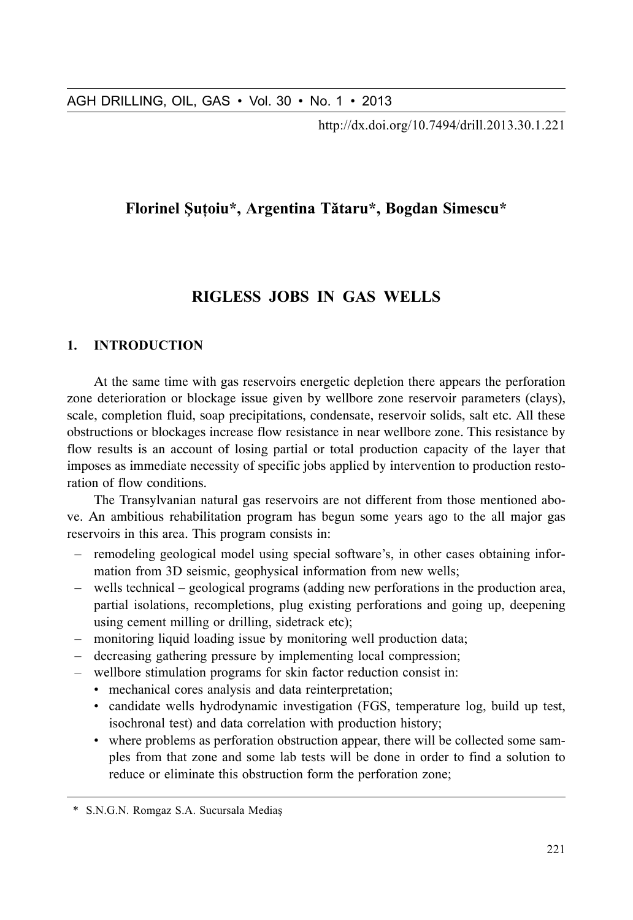http://dx.doi.org/10.7494/drill.2013.30.1.221

# Florinel Sutoiu\*, Argentina Tătaru\*, Bogdan Simescu\*

# RIGLESS JOBS IN GAS WELLS

### $\mathbf{1}$ **INTRODUCTION**

At the same time with gas reservoirs energetic depletion there appears the perforation zone deterioration or blockage issue given by wellbore zone reservoir parameters (clavs). scale, completion fluid, soap precipitations, condensate, reservoir solids, salt etc. All these obstructions or blockages increase flow resistance in near wellbore zone. This resistance by flow results is an account of losing partial or total production capacity of the layer that imposes as immediate necessity of specific jobs applied by intervention to production restoration of flow conditions.

The Transylvanian natural gas reservoirs are not different from those mentioned above. An ambitious rehabilitation program has begun some years ago to the all major gas reservoirs in this area. This program consists in:

- remodeling geological model using special software's, in other cases obtaining information from 3D seismic, geophysical information from new wells;
- wells technical geological programs (adding new perforations in the production area, partial isolations, recompletions, plug existing perforations and going up, deepening using cement milling or drilling, sidetrack etc);
- monitoring liquid loading issue by monitoring well production data;
- decreasing gathering pressure by implementing local compression;
- wellbore stimulation programs for skin factor reduction consist in:
	- mechanical cores analysis and data reinterpretation;
	- candidate wells hydrodynamic investigation (FGS, temperature log, build up test, isochronal test) and data correlation with production history;
	- where problems as perforation obstruction appear, there will be collected some samples from that zone and some lab tests will be done in order to find a solution to reduce or eliminate this obstruction form the perforation zone;

<sup>\*</sup> S.N.G.N. Romgaz S.A. Sucursala Medias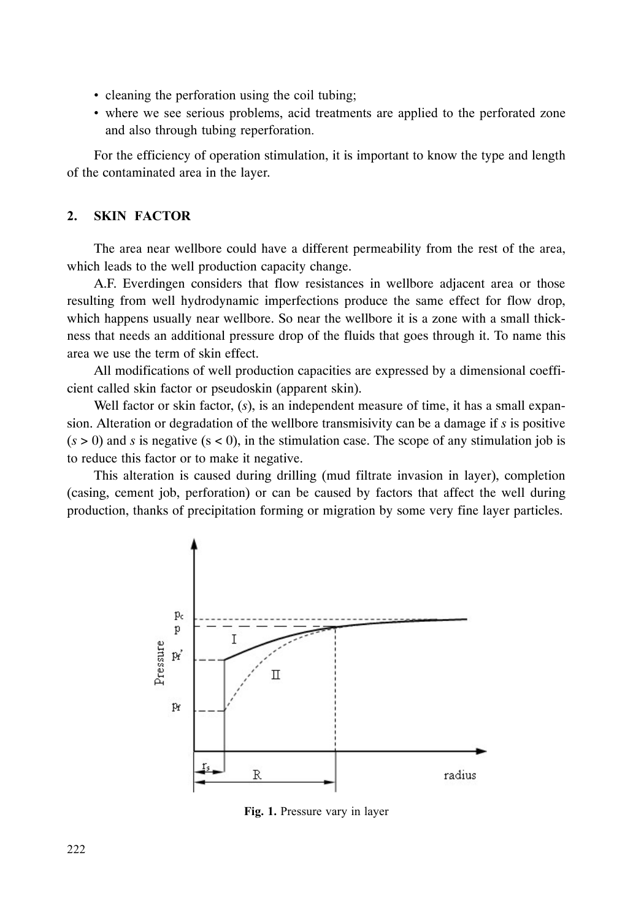- cleaning the perforation using the coil tubing:
- where we see serious problems, acid treatments are applied to the perforated zone and also through tubing reperforation.

For the efficiency of operation stimulation, it is important to know the type and length of the contaminated area in the layer.

## 2. SKIN FACTOR

The area near wellbore could have a different permeability from the rest of the area, which leads to the well production capacity change.

A.F. Everdingen considers that flow resistances in wellbore adjacent area or those resulting from well hydrodynamic imperfections produce the same effect for flow drop, which happens usually near wellbore. So near the wellbore it is a zone with a small thickness that needs an additional pressure drop of the fluids that goes through it. To name this area we use the term of skin effect.

All modifications of well production capacities are expressed by a dimensional coefficient called skin factor or pseudoskin (apparent skin).

Well factor or skin factor, (s), is an independent measure of time, it has a small expansion. Alteration or degradation of the wellbore transmisivity can be a damage if *s* is positive  $(s > 0)$  and *s* is negative  $(s < 0)$ , in the stimulation case. The scope of any stimulation job is to reduce this factor or to make it negative.

This alteration is caused during drilling (mud filtrate invasion in layer), completion (casing, cement job, perforation) or can be caused by factors that affect the well during production, thanks of precipitation forming or migration by some very fine layer particles.



Fig. 1. Pressure vary in layer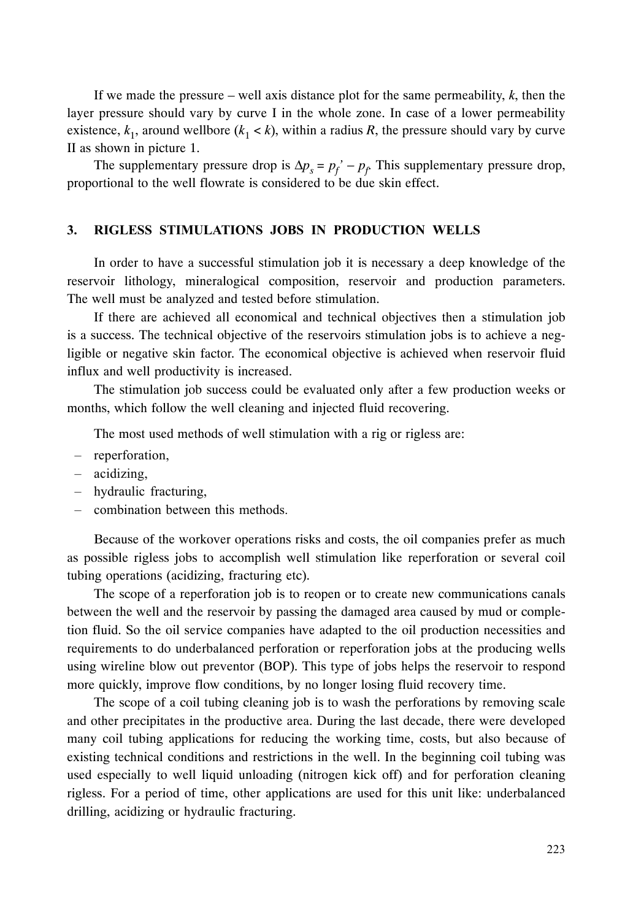If we made the pressure – well axis distance plot for the same permeability, *k*, then the layer pressure should vary by curve I in the whole zone. In case of a lower permeability existence,  $k_1$ , around wellbore  $(k_1 < k)$ , within a radius R, the pressure should vary by curve II as shown in picture 1.

The supplementary pressure drop is  $\Delta p_s = p_f' - p_f$  This supplementary pressure drop, proportional to the well flowrate is considered to be due skin effect.

### 3. RIGLESS STIMULATIONS JOBS IN PRODUCTION WELLS

In order to have a successful stimulation job it is necessary a deep knowledge of the reservoir lithology, mineralogical composition, reservoir and production parameters. The well must be analyzed and tested before stimulation.

If there are achieved all economical and technical objectives then a stimulation job is a success. The technical objective of the reservoirs stimulation jobs is to achieve a negligible or negative skin factor. The economical objective is achieved when reservoir fluid influx and well productivity is increased.

The stimulation job success could be evaluated only after a few production weeks or months, which follow the well cleaning and injected fluid recovering.

The most used methods of well stimulation with a rig or rigless are:

- reperforation,
- acidizing,
- hydraulic fracturing,
- $-$  combination between this methods.

Because of the workover operations risks and costs, the oil companies prefer as much as possible rigless jobs to accomplish well stimulation like reperforation or several coil tubing operations (acidizing, fracturing etc).

The scope of a reperforation job is to reopen or to create new communications canals between the well and the reservoir by passing the damaged area caused by mud or completion fluid. So the oil service companies have adapted to the oil production necessities and requirements to do underbalanced perforation or reperforation jobs at the producing wells using wireline blow out preventor (BOP). This type of jobs helps the reservoir to respond more quickly, improve flow conditions, by no longer losing fluid recovery time.

The scope of a coil tubing cleaning job is to wash the perforations by removing scale and other precipitates in the productive area. During the last decade, there were developed many coil tubing applications for reducing the working time, costs, but also because of existing technical conditions and restrictions in the well. In the beginning coil tubing was used especially to well liquid unloading (nitrogen kick off) and for perforation cleaning rigless. For a period of time, other applications are used for this unit like: underbalanced drilling, acidizing or hydraulic fracturing.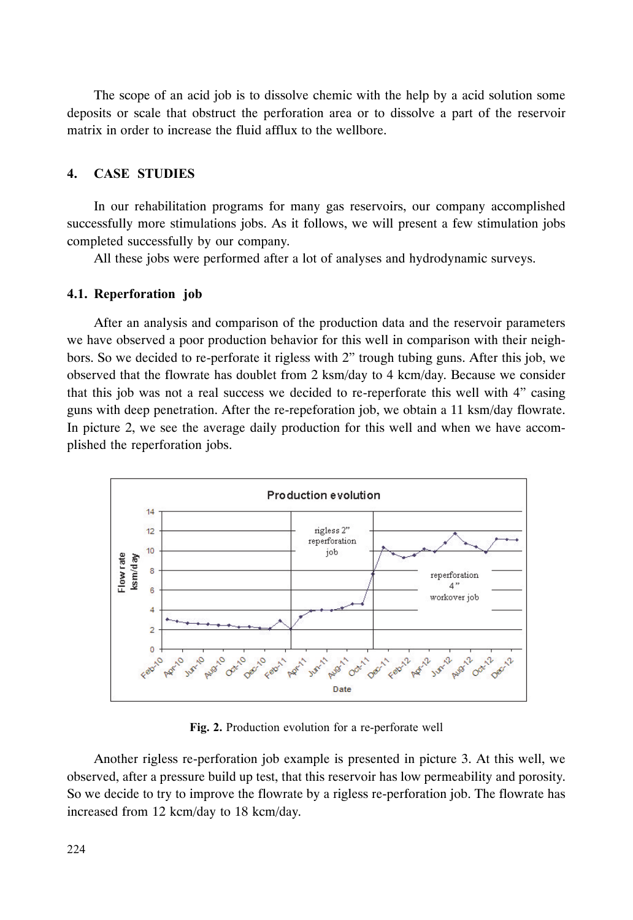The scope of an acid job is to dissolve chemic with the help by a acid solution some deposits or scale that obstruct the perforation area or to dissolve a part of the reservoir matrix in order to increase the fluid afflux to the wellbore.

### $\overline{4}$ . **CASE STUDIES**

In our rehabilitation programs for many gas reservoirs, our company accomplished successfully more stimulations jobs. As it follows, we will present a few stimulation jobs completed successfully by our company.

All these jobs were performed after a lot of analyses and hydrodynamic surveys.

### 4.1. Reperforation job

After an analysis and comparison of the production data and the reservoir parameters we have observed a poor production behavior for this well in comparison with their neighbors. So we decided to re-perforate it rigless with 2" trough tubing guns. After this job, we observed that the flowrate has doublet from 2 ksm/day to 4 kcm/day. Because we consider that this job was not a real success we decided to re-reperforate this well with 4" casing guns with deep penetration. After the re-repeforation job, we obtain a 11 ksm/day flowrate. In picture 2, we see the average daily production for this well and when we have accomplished the reperforation jobs.



Fig. 2. Production evolution for a re-perforate well

Another rigless re-perforation job example is presented in picture 3. At this well, we observed, after a pressure build up test, that this reservoir has low permeability and porosity. So we decide to try to improve the flowrate by a rigless re-perforation job. The flowrate has increased from 12 kcm/day to 18 kcm/day.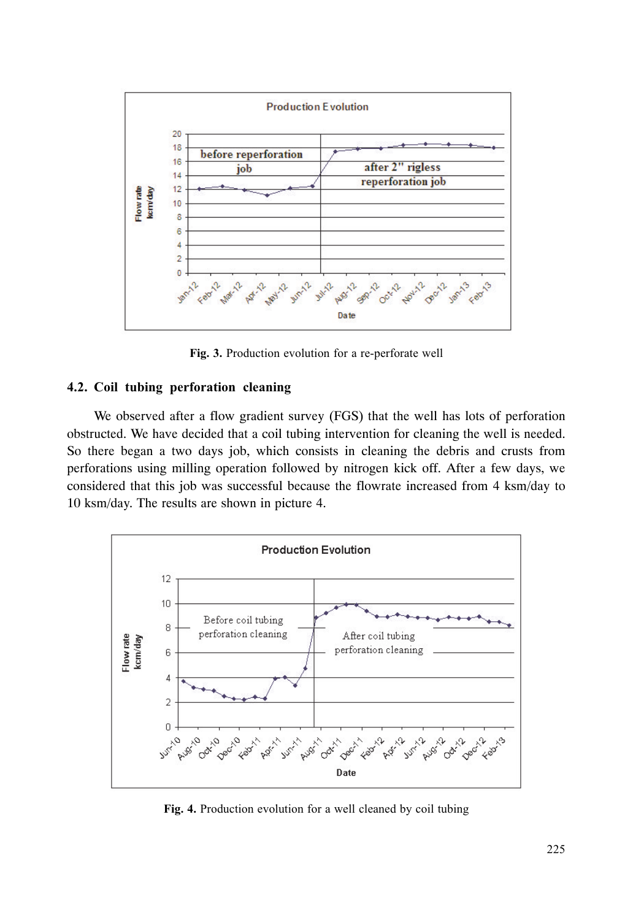

Fig. 3. Production evolution for a re-perforate well

# 4.2. Coil tubing perforation cleaning

We observed after a flow gradient survey (FGS) that the well has lots of perforation obstructed. We have decided that a coil tubing intervention for cleaning the well is needed. So there began a two days job, which consists in cleaning the debris and crusts from perforations using milling operation followed by nitrogen kick off. After a few days, we considered that this job was successful because the flowrate increased from 4 ksm/day to 10 ksm/day. The results are shown in picture 4.



Fig. 4. Production evolution for a well cleaned by coil tubing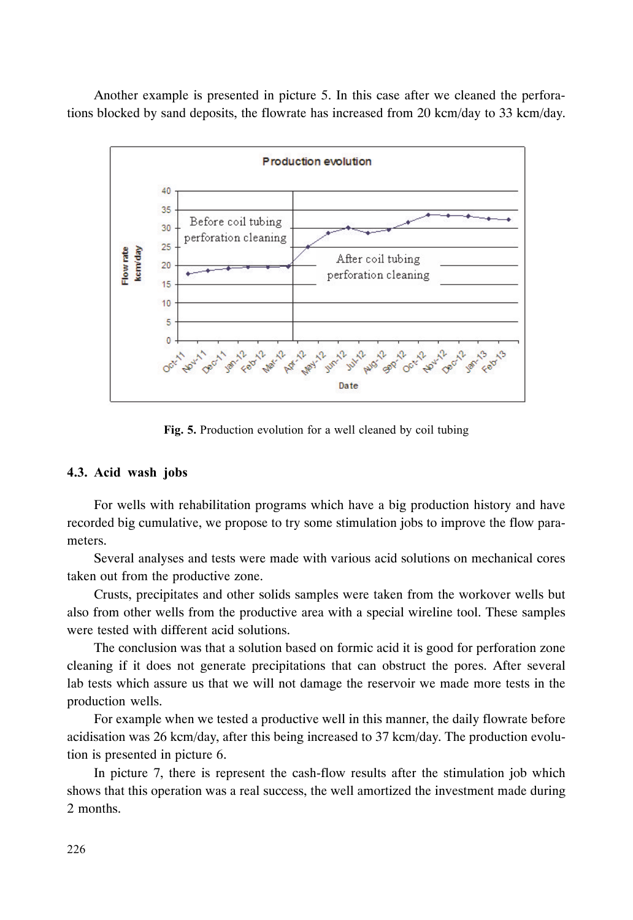Another example is presented in picture 5. In this case after we cleaned the perforations blocked by sand deposits, the flowrate has increased from 20 kcm/day to 33 kcm/day.



Fig. 5. Production evolution for a well cleaned by coil tubing

## 4.3. Acid wash jobs

For wells with rehabilitation programs which have a big production history and have recorded big cumulative, we propose to try some stimulation jobs to improve the flow parameters.

Several analyses and tests were made with various acid solutions on mechanical cores taken out from the productive zone.

Crusts, precipitates and other solids samples were taken from the workover wells but also from other wells from the productive area with a special wireline tool. These samples were tested with different acid solutions.

The conclusion was that a solution based on formic acid it is good for perforation zone cleaning if it does not generate precipitations that can obstruct the pores. After several lab tests which assure us that we will not damage the reservoir we made more tests in the production wells.

For example when we tested a productive well in this manner, the daily flowrate before acidisation was 26 kcm/day, after this being increased to 37 kcm/day. The production evolution is presented in picture 6.

In picture 7, there is represent the cash-flow results after the stimulation job which shows that this operation was a real success, the well amortized the investment made during 2 months.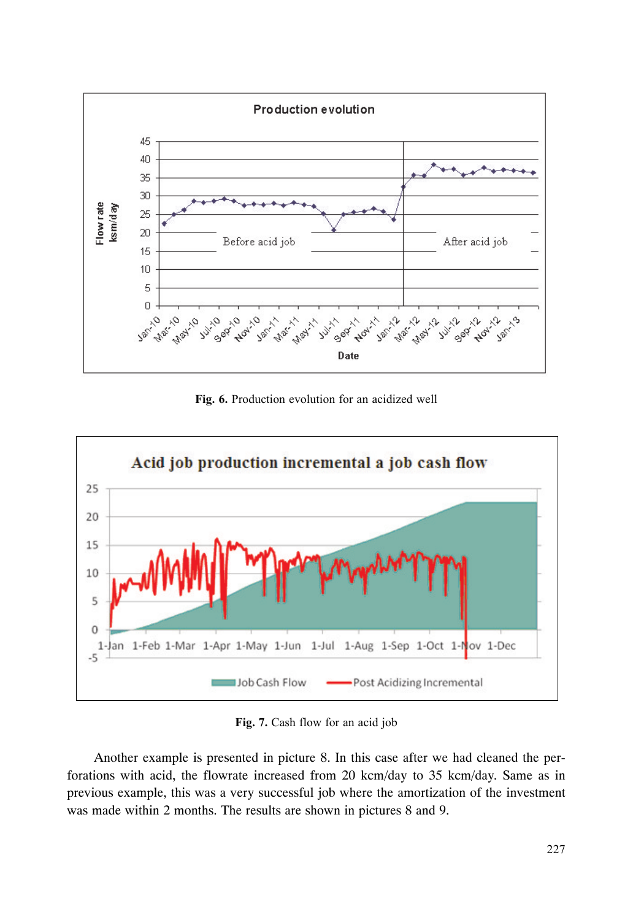

Fig. 6. Production evolution for an acidized well



Fig. 7. Cash flow for an acid job

Another example is presented in picture 8. In this case after we had cleaned the perforations with acid, the flowrate increased from 20 kcm/day to 35 kcm/day. Same as in previous example, this was a very successful job where the amortization of the investment was made within 2 months. The results are shown in pictures 8 and 9.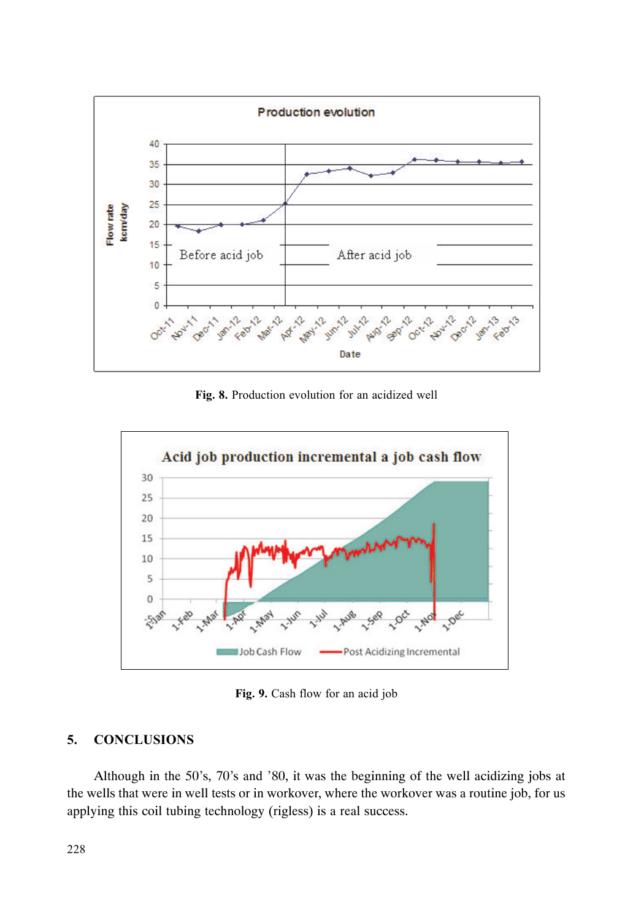

Fig. 8. Production evolution for an acidized well

![](_page_7_Figure_2.jpeg)

Fig. 9. Cash flow for an acid job

#### $5<sub>1</sub>$ **CONCLUSIONS**

Although in the 50's, 70's and '80, it was the beginning of the well acidizing jobs at the wells that were in well tests or in workover, where the workover was a routine job, for us applying this coil tubing technology (rigless) is a real success.